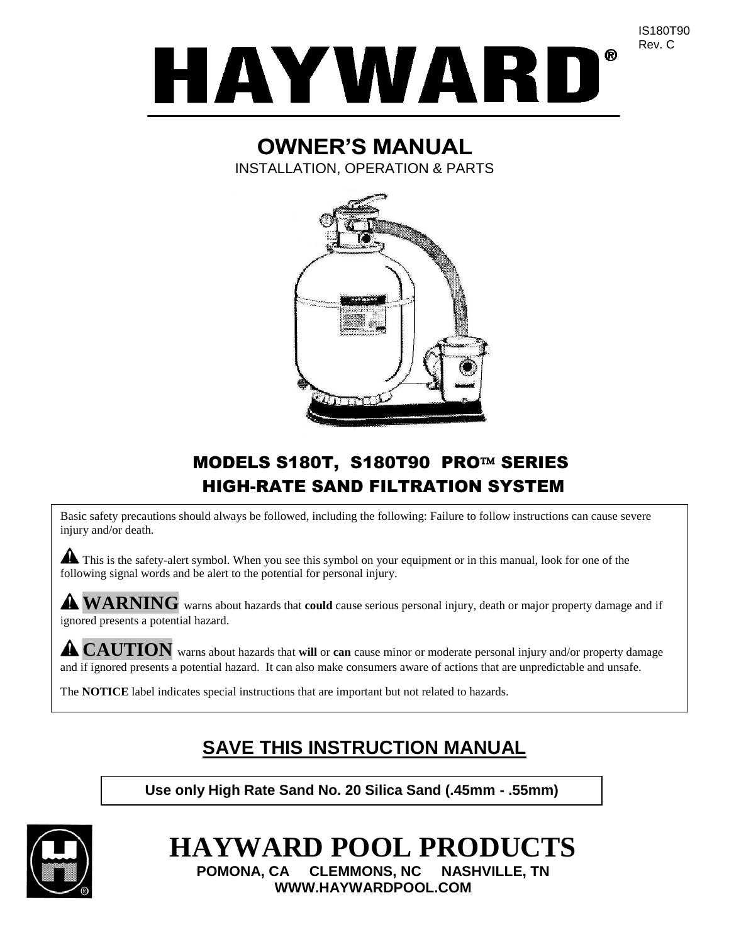

# **OWNER'S MANUAL**

INSTALLATION, OPERATION & PARTS



# MODELS S180T, S180T90 PRO™ SERIES HIGH-RATE SAND FILTRATION SYSTEM

Basic safety precautions should always be followed, including the following: Failure to follow instructions can cause severe injury and/or death.

This is the safety-alert symbol. When you see this symbol on your equipment or in this manual, look for one of the following signal words and be alert to the potential for personal injury.

**WARNING** warns about hazards that **could** cause serious personal injury, death or major property damage and if ignored presents a potential hazard.

**CAUTION** warns about hazards that **will** or **can** cause minor or moderate personal injury and/or property damage and if ignored presents a potential hazard. It can also make consumers aware of actions that are unpredictable and unsafe.

The **NOTICE** label indicates special instructions that are important but not related to hazards.

# **SAVE THIS INSTRUCTION MANUAL**

**Use only High Rate Sand No. 20 Silica Sand (.45mm - .55mm)**



**HAYWARD POOL PRODUCTS POMONA, CA CLEMMONS, NC NASHVILLE, TN WWW.HAYWARDPOOL.COM**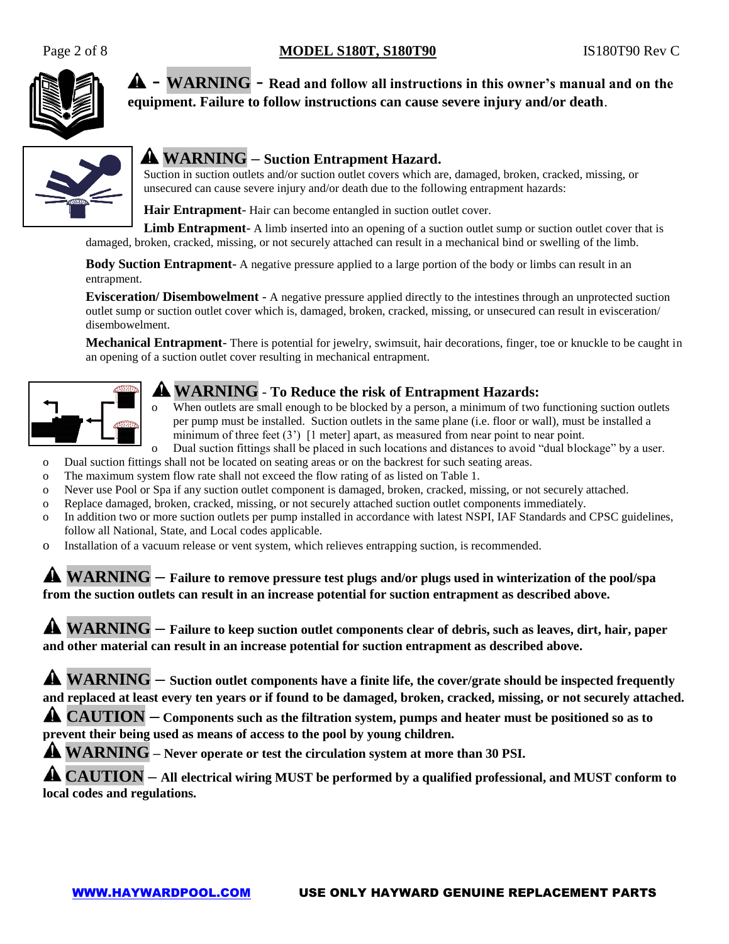

- **WARNING** - **Read and follow all instructions in this owner's manual and on the equipment. Failure to follow instructions can cause severe injury and/or death**.



# **WARNING – Suction Entrapment Hazard.**

Suction in suction outlets and/or suction outlet covers which are, damaged, broken, cracked, missing, or unsecured can cause severe injury and/or death due to the following entrapment hazards:

**Hair Entrapment**- Hair can become entangled in suction outlet cover.

**Limb Entrapment**- A limb inserted into an opening of a suction outlet sump or suction outlet cover that is damaged, broken, cracked, missing, or not securely attached can result in a mechanical bind or swelling of the limb.

**Body Suction Entrapment**- A negative pressure applied to a large portion of the body or limbs can result in an entrapment.

**Evisceration/ Disembowelment** - A negative pressure applied directly to the intestines through an unprotected suction outlet sump or suction outlet cover which is, damaged, broken, cracked, missing, or unsecured can result in evisceration/ disembowelment.

**Mechanical Entrapment**- There is potential for jewelry, swimsuit, hair decorations, finger, toe or knuckle to be caught in an opening of a suction outlet cover resulting in mechanical entrapment.



## **WARNING** - **To Reduce the risk of Entrapment Hazards:**

o When outlets are small enough to be blocked by a person, a minimum of two functioning suction outlets per pump must be installed. Suction outlets in the same plane (i.e. floor or wall), must be installed a minimum of three feet  $(3')$  [1 meter] apart, as measured from near point to near point.

- o Dual suction fittings shall be placed in such locations and distances to avoid "dual blockage" by a user.
- o Dual suction fittings shall not be located on seating areas or on the backrest for such seating areas.
- o The maximum system flow rate shall not exceed the flow rating of as listed on Table 1.
- o Never use Pool or Spa if any suction outlet component is damaged, broken, cracked, missing, or not securely attached.
- o Replace damaged, broken, cracked, missing, or not securely attached suction outlet components immediately.
- o In addition two or more suction outlets per pump installed in accordance with latest NSPI, IAF Standards and CPSC guidelines, follow all National, State, and Local codes applicable.
- o Installation of a vacuum release or vent system, which relieves entrapping suction, is recommended.

**WARNING – Failure to remove pressure test plugs and/or plugs used in winterization of the pool/spa from the suction outlets can result in an increase potential for suction entrapment as described above.**

**WARNING – Failure to keep suction outlet components clear of debris, such as leaves, dirt, hair, paper and other material can result in an increase potential for suction entrapment as described above.**

**WARNING – Suction outlet components have a finite life, the cover/grate should be inspected frequently and replaced at least every ten years or if found to be damaged, broken, cracked, missing, or not securely attached.**

**CAUTION – Components such as the filtration system, pumps and heater must be positioned so as to prevent their being used as means of access to the pool by young children.**

**WARNING – Never operate or test the circulation system at more than 30 PSI.**

**CAUTION – All electrical wiring MUST be performed by a qualified professional, and MUST conform to local codes and regulations.**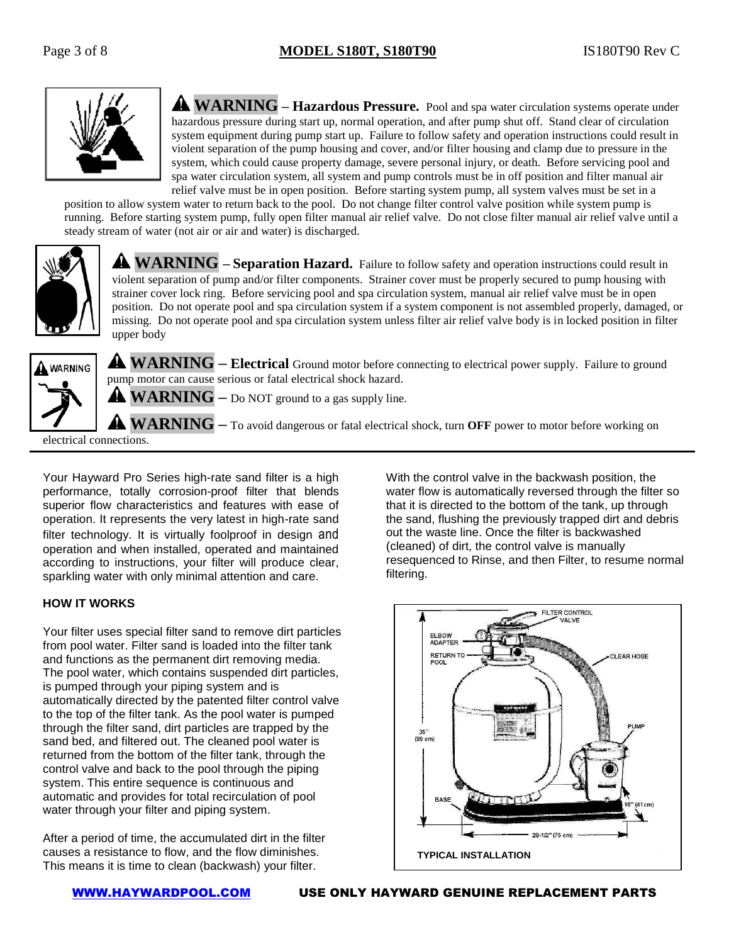

**WARNING** – **Hazardous Pressure.** Pool and spa water circulation systems operate under hazardous pressure during start up, normal operation, and after pump shut off. Stand clear of circulation system equipment during pump start up. Failure to follow safety and operation instructions could result in violent separation of the pump housing and cover, and/or filter housing and clamp due to pressure in the system, which could cause property damage, severe personal injury, or death. Before servicing pool and spa water circulation system, all system and pump controls must be in off position and filter manual air relief valve must be in open position. Before starting system pump, all system valves must be set in a

position to allow system water to return back to the pool. Do not change filter control valve position while system pump is running. Before starting system pump, fully open filter manual air relief valve. Do not close filter manual air relief valve until a steady stream of water (not air or air and water) is discharged.



**WARNING – Separation Hazard.** Failure to follow safety and operation instructions could result in violent separation of pump and/or filter components. Strainer cover must be properly secured to pump housing with strainer cover lock ring. Before servicing pool and spa circulation system, manual air relief valve must be in open position. Do not operate pool and spa circulation system if a system component is not assembled properly, damaged, or missing. Do not operate pool and spa circulation system unless filter air relief valve body is in locked position in filter upper body



**WARNING – Electrical** Ground motor before connecting to electrical power supply. Failure to ground pump motor can cause serious or fatal electrical shock hazard.

**WARNING –** Do NOT ground to a gas supply line.

**WARNING –** To avoid dangerous or fatal electrical shock, turn **OFF** power to motor before working on

electrical connections.

Your Hayward Pro Series high-rate sand filter is a high performance, totally corrosion-proof filter that blends superior flow characteristics and features with ease of operation. It represents the very latest in high-rate sand filter technology. It is virtually foolproof in design and operation and when installed, operated and maintained according to instructions, your filter will produce clear, sparkling water with only minimal attention and care.

#### **HOW IT WORKS**

Your filter uses special filter sand to remove dirt particles from pool water. Filter sand is loaded into the filter tank and functions as the permanent dirt removing media. The pool water, which contains suspended dirt particles, is pumped through your piping system and is automatically directed by the patented filter control valve to the top of the filter tank. As the pool water is pumped through the filter sand, dirt particles are trapped by the sand bed, and filtered out. The cleaned pool water is returned from the bottom of the filter tank, through the control valve and back to the pool through the piping system. This entire sequence is continuous and automatic and provides for total recirculation of pool water through your filter and piping system.

After a period of time, the accumulated dirt in the filter causes a resistance to flow, and the flow diminishes. This means it is time to clean (backwash) your filter.

With the control valve in the backwash position, the water flow is automatically reversed through the filter so that it is directed to the bottom of the tank, up through the sand, flushing the previously trapped dirt and debris out the waste line. Once the filter is backwashed (cleaned) of dirt, the control valve is manually resequenced to Rinse, and then Filter, to resume normal filtering.

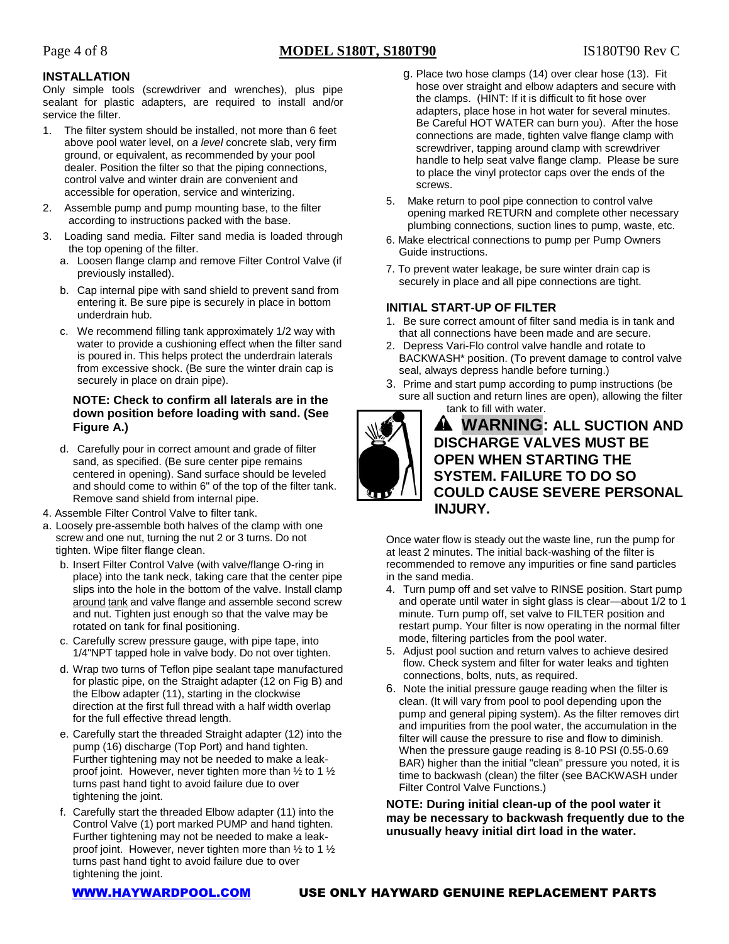#### **INSTALLATION**

Only simple tools (screwdriver and wrenches), plus pipe sealant for plastic adapters, are required to install and/or service the filter.

- 1. The filter system should be installed, not more than 6 feet above pool water level, on *a level* concrete slab, very firm ground, or equivalent, as recommended by your pool dealer. Position the filter so that the piping connections, control valve and winter drain are convenient and accessible for operation, service and winterizing.
- 2. Assemble pump and pump mounting base, to the filter according to instructions packed with the base.
- 3. Loading sand media. Filter sand media is loaded through the top opening of the filter.
	- a. Loosen flange clamp and remove Filter Control Valve (if previously installed).
	- b. Cap internal pipe with sand shield to prevent sand from entering it. Be sure pipe is securely in place in bottom underdrain hub.
	- c. We recommend filling tank approximately 1/2 way with water to provide a cushioning effect when the filter sand is poured in. This helps protect the underdrain laterals from excessive shock. (Be sure the winter drain cap is securely in place on drain pipe).

#### **NOTE: Check to confirm all laterals are in the down position before loading with sand. (See Figure A.)**

- d. Carefully pour in correct amount and grade of filter sand, as specified. (Be sure center pipe remains centered in opening). Sand surface should be leveled and should come to within 6" of the top of the filter tank. Remove sand shield from internal pipe.
- 4. Assemble Filter Control Valve to filter tank.
- a. Loosely pre-assemble both halves of the clamp with one screw and one nut, turning the nut 2 or 3 turns. Do not tighten. Wipe filter flange clean.
	- b. Insert Filter Control Valve (with valve/flange O-ring in place) into the tank neck, taking care that the center pipe slips into the hole in the bottom of the valve. Install clamp around tank and valve flange and assemble second screw and nut. Tighten just enough so that the valve may be rotated on tank for final positioning.
	- c. Carefully screw pressure gauge, with pipe tape, into 1/4"NPT tapped hole in valve body. Do not over tighten.
	- d. Wrap two turns of Teflon pipe sealant tape manufactured for plastic pipe, on the Straight adapter (12 on Fig B) and the Elbow adapter (11), starting in the clockwise direction at the first full thread with a half width overlap for the full effective thread length.
	- e. Carefully start the threaded Straight adapter (12) into the pump (16) discharge (Top Port) and hand tighten. Further tightening may not be needed to make a leakproof joint. However, never tighten more than ½ to 1 ½ turns past hand tight to avoid failure due to over tightening the joint.
	- f. Carefully start the threaded Elbow adapter (11) into the Control Valve (1) port marked PUMP and hand tighten. Further tightening may not be needed to make a leakproof joint. However, never tighten more than ½ to 1 ½ turns past hand tight to avoid failure due to over tightening the joint.
- g. Place two hose clamps (14) over clear hose (13). Fit hose over straight and elbow adapters and secure with the clamps. (HINT: If it is difficult to fit hose over adapters, place hose in hot water for several minutes. Be Careful HOT WATER can burn you). After the hose connections are made, tighten valve flange clamp with screwdriver, tapping around clamp with screwdriver handle to help seat valve flange clamp. Please be sure to place the vinyl protector caps over the ends of the screws.
- 5. Make return to pool pipe connection to control valve opening marked RETURN and complete other necessary plumbing connections, suction lines to pump, waste, etc.
- 6. Make electrical connections to pump per Pump Owners Guide instructions.
- 7. To prevent water leakage, be sure winter drain cap is securely in place and all pipe connections are tight.

## **INITIAL START-UP OF FILTER**

- 1. Be sure correct amount of filter sand media is in tank and that all connections have been made and are secure.
- 2. Depress Vari-Flo control valve handle and rotate to BACKWASH\* position. (To prevent damage to control valve seal, always depress handle before turning.)
- 3. Prime and start pump according to pump instructions (be sure all suction and return lines are open), allowing the filter tank to fill with water.



### **WARNING: ALL SUCTION AND DISCHARGE VALVES MUST BE OPEN WHEN STARTING THE SYSTEM. FAILURE TO DO SO COULD CAUSE SEVERE PERSONAL INJURY.**

Once water flow is steady out the waste line, run the pump for at least 2 minutes. The initial back-washing of the filter is recommended to remove any impurities or fine sand particles in the sand media.

- 4. Turn pump off and set valve to RINSE position. Start pump and operate until water in sight glass is clear—about 1/2 to 1 minute. Turn pump off, set valve to FILTER position and restart pump. Your filter is now operating in the normal filter mode, filtering particles from the pool water.
- 5. Adjust pool suction and return valves to achieve desired flow. Check system and filter for water leaks and tighten connections, bolts, nuts, as required.
- 6. Note the initial pressure gauge reading when the filter is clean. (It will vary from pool to pool depending upon the pump and general piping system). As the filter removes dirt and impurities from the pool water, the accumulation in the filter will cause the pressure to rise and flow to diminish. When the pressure gauge reading is 8-10 PSI (0.55-0.69 BAR) higher than the initial "clean" pressure you noted, it is time to backwash (clean) the filter (see BACKWASH under Filter Control Valve Functions.)

**NOTE: During initial clean-up of the pool water it may be necessary to backwash frequently due to the unusually heavy initial dirt load in the water.**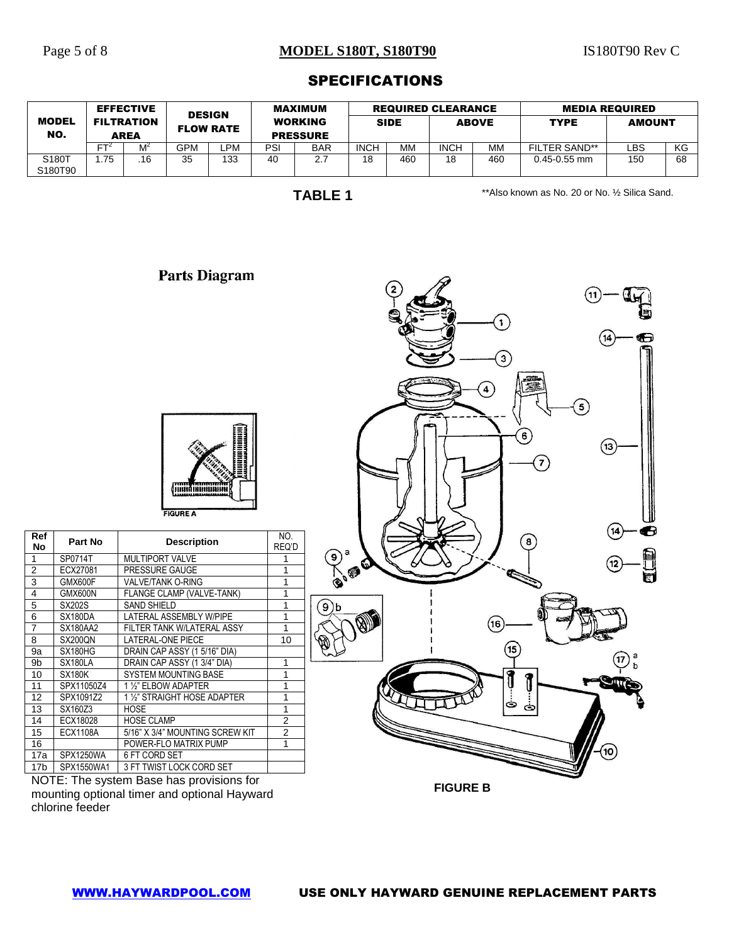### Page 5 of 8 **MODEL S180T, S180T90** IS180T90 Rev C

### SPECIFICATIONS

|                     |      | <b>EFFECTIVE</b>                 | <b>DESIGN</b> |                  |     | MAXIMUM                           |             |             | <b>REQUIRED CLEARANCE</b> |              |                      | <b>MEDIA REQUIRED</b> |    |  |
|---------------------|------|----------------------------------|---------------|------------------|-----|-----------------------------------|-------------|-------------|---------------------------|--------------|----------------------|-----------------------|----|--|
| <b>MODEL</b><br>NO. |      | <b>FILTRATION</b><br><b>AREA</b> |               | <b>FLOW RATE</b> |     | <b>WORKING</b><br><b>PRESSURE</b> |             | <b>SIDE</b> |                           | <b>ABOVE</b> | <b>TYPE</b>          | <b>AMOUNT</b>         |    |  |
|                     | ᇊ    |                                  | GPM           | ∟PM              | PSI | <b>BAR</b>                        | <b>INCH</b> | МM          | <b>INCH</b>               | MМ           | <b>FILTER SAND**</b> | LBS.                  | КG |  |
| S180T<br>S180T90    | 75،، | .16                              | 35            | 133              | 40  | 2.7                               | 18          | 460         | 18                        | 460          | $0.45 - 0.55$ mm     | 150                   | 68 |  |

**TABLE 1**

\*\*Also known as No. 20 or No. ½ Silica Sand.

 $5^{\circ}$ 

 $(13)$ 

€

 $\mathbf{1}$ 

 $\mathbf{3}$ 

8

 $\left( \overline{\mathbf{16}}\right)$ 

 $\left(15\right)$ 

1 .<br>د

 $\overline{\mathbf{4}}$ 

# ,,,,,,,,,,, iiii **FIGURE A No Part No Description** NO.<br>
1 SP0714T MULTIPORT VALVE 1 REQ'D 1 SP0714T MULTIPORT VALVE 1<br>2 ECX27081 PRESSURE GAUGE 1 2 ECX27081 PRESSURE GAUGE 1<br>3 GMX600F VALVE/TANK O-RING 1 VALVE/TANK O-RING 4 | GMX600N | FLANGE CLAMP (VALVE-TANK) | 1 5 SX202S SAND SHIELD 1  $\mathbf{9}$ b 6 | SX180DA | LATERAL ASSEMBLY W/PIPE | 1 7 | SX180AA2 | FILTER TANK W/LATERAL ASSY | 1 8 | SX200QN | LATERAL-ONE PIECE | 10 9a SX180HG DRAIN CAP ASSY (1 5/16" DIA) 9b SX180LA DRAIN CAP ASSY (1 3/4" DIA) 1<br>10 SX180K SYSTEM MOUNTING BASE 1 **SYSTEM MOUNTING BASE** 11 | SPX11050Z4 | 1<sup>1</sup>/<sub>2</sub>" ELBOW ADAPTER | 1 12 SPX1091Z2 1 ½" STRAIGHT HOSE ADAPTER 1 13 SX160Z3 HOSE<br>14 ECX18028 HOSE CLAMP 2 **HOSE CLAMP** 15 ECX1108A 5/16" X 3/4" MOUNTING SCREW KIT 2<br>16 POWER-FLO MATRIX PUMP 16 POWER-FLO MATRIX PUMP 1<br>17a SPX1250WA 6 FT CORD SET 6 FT CORD SET 17b | SPX1550WA1 | 3 FT TWIST LOCK CORD SET

**Parts Diagram** 

**FIGURE B**

NOTE: The system Base has provisions for mounting optional timer and optional Hayward chlorine feeder

**Ref**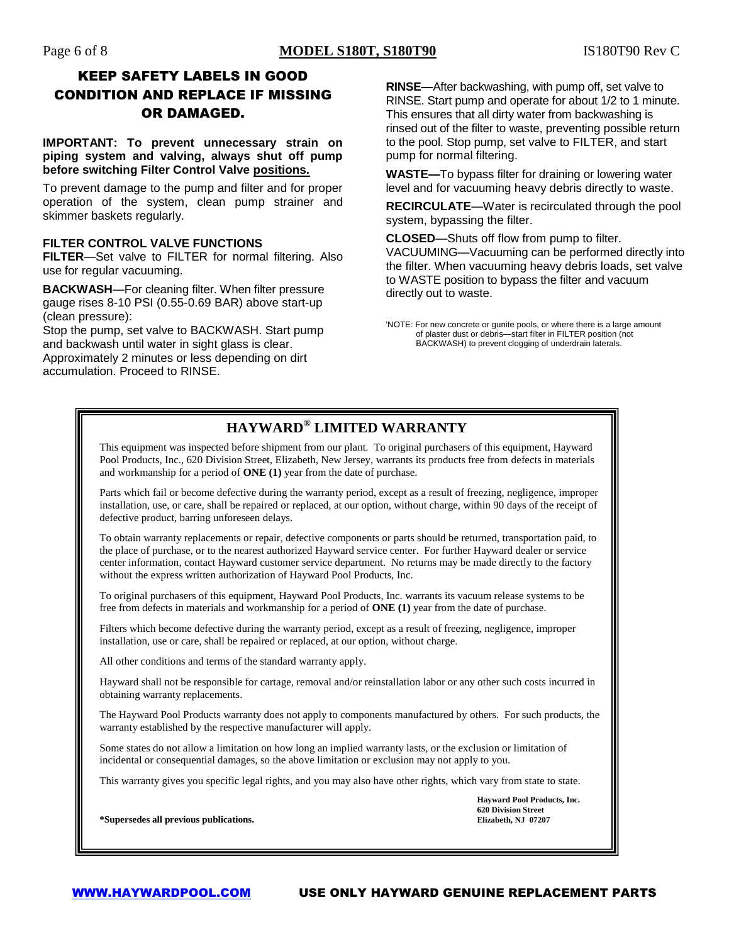# KEEP SAFETY LABELS IN GOOD CONDITION AND REPLACE IF MISSING OR DAMAGED.

**IMPORTANT: To prevent unnecessary strain on piping system and valving, always shut off pump before switching Filter Control Valve positions.**

To prevent damage to the pump and filter and for proper operation of the system, clean pump strainer and skimmer baskets regularly.

#### **FILTER CONTROL VALVE FUNCTIONS**

**FILTER**—Set valve to FILTER for normal filtering. Also use for regular vacuuming.

**BACKWASH**—For cleaning filter. When filter pressure gauge rises 8-10 PSI (0.55-0.69 BAR) above start-up (clean pressure):

Stop the pump, set valve to BACKWASH. Start pump and backwash until water in sight glass is clear. Approximately 2 minutes or less depending on dirt accumulation. Proceed to RINSE.

**RINSE—**After backwashing, with pump off, set valve to RINSE. Start pump and operate for about 1/2 to 1 minute. This ensures that all dirty water from backwashing is rinsed out of the filter to waste, preventing possible return to the pool. Stop pump, set valve to FILTER, and start pump for normal filtering.

**WASTE—**To bypass filter for draining or lowering water level and for vacuuming heavy debris directly to waste.

**RECIRCULATE**—Water is recirculated through the pool system, bypassing the filter.

**CLOSED**—Shuts off flow from pump to filter.

VACUUMING—Vacuuming can be performed directly into the filter. When vacuuming heavy debris loads, set valve to WASTE position to bypass the filter and vacuum directly out to waste.

# **HAYWARD® LIMITED WARRANTY**

This equipment was inspected before shipment from our plant. To original purchasers of this equipment, Hayward Pool Products, Inc., 620 Division Street, Elizabeth, New Jersey, warrants its products free from defects in materials and workmanship for a period of **ONE (1)** year from the date of purchase.

Parts which fail or become defective during the warranty period, except as a result of freezing, negligence, improper installation, use, or care, shall be repaired or replaced, at our option, without charge, within 90 days of the receipt of defective product, barring unforeseen delays.

To obtain warranty replacements or repair, defective components or parts should be returned, transportation paid, to the place of purchase, or to the nearest authorized Hayward service center. For further Hayward dealer or service center information, contact Hayward customer service department. No returns may be made directly to the factory without the express written authorization of Hayward Pool Products, Inc.

To original purchasers of this equipment, Hayward Pool Products, Inc. warrants its vacuum release systems to be free from defects in materials and workmanship for a period of **ONE (1)** year from the date of purchase.

Filters which become defective during the warranty period, except as a result of freezing, negligence, improper installation, use or care, shall be repaired or replaced, at our option, without charge.

All other conditions and terms of the standard warranty apply.

Hayward shall not be responsible for cartage, removal and/or reinstallation labor or any other such costs incurred in obtaining warranty replacements.

The Hayward Pool Products warranty does not apply to components manufactured by others. For such products, the warranty established by the respective manufacturer will apply.

Some states do not allow a limitation on how long an implied warranty lasts, or the exclusion or limitation of incidental or consequential damages, so the above limitation or exclusion may not apply to you.

This warranty gives you specific legal rights, and you may also have other rights, which vary from state to state.

**Hayward Pool Products, Inc. 620 Division Street**

**\*Supersedes all previous publications. Elizabeth, NJ 07207**

<sup>&#</sup>x27;NOTE: For new concrete or gunite pools, or where there is a large amount of plaster dust or debris—start filter in FILTER position (not BACKWASH) to prevent clogging of underdrain laterals.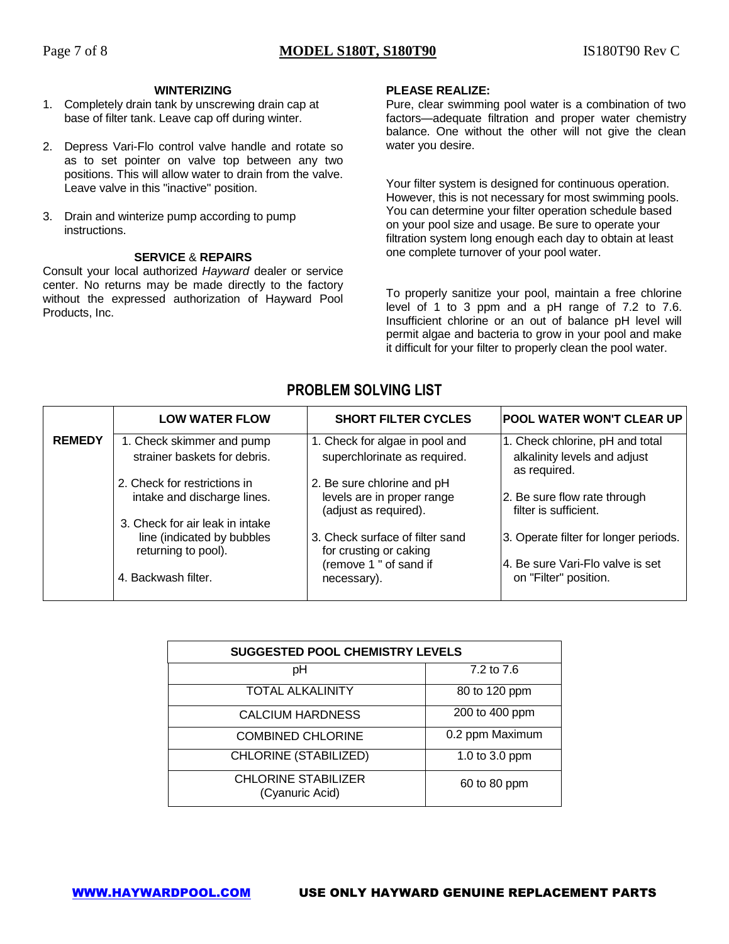#### **WINTERIZING**

- 1. Completely drain tank by unscrewing drain cap at base of filter tank. Leave cap off during winter.
- 2. Depress Vari-Flo control valve handle and rotate so as to set pointer on valve top between any two positions. This will allow water to drain from the valve. Leave valve in this "inactive" position.
- 3. Drain and winterize pump according to pump instructions.

#### **SERVICE** & **REPAIRS**

Consult your local authorized *Hayward* dealer or service center. No returns may be made directly to the factory without the expressed authorization of Hayward Pool Products, Inc.

#### **PLEASE REALIZE:**

Pure, clear swimming pool water is a combination of two factors—adequate filtration and proper water chemistry balance. One without the other will not give the clean water you desire.

Your filter system is designed for continuous operation. However, this is not necessary for most swimming pools. You can determine your filter operation schedule based on your pool size and usage. Be sure to operate your filtration system long enough each day to obtain at least one complete turnover of your pool water.

To properly sanitize your pool, maintain a free chlorine level of 1 to 3 ppm and a pH range of 7.2 to 7.6. Insufficient chlorine or an out of balance pH level will permit algae and bacteria to grow in your pool and make it difficult for your filter to properly clean the pool water.

|               | <b>LOW WATER FLOW</b>                                                                | <b>SHORT FILTER CYCLES</b>                                                        | <b>POOL WATER WON'T CLEAR UP</b>                                                |
|---------------|--------------------------------------------------------------------------------------|-----------------------------------------------------------------------------------|---------------------------------------------------------------------------------|
| <b>REMEDY</b> | 1. Check skimmer and pump<br>strainer baskets for debris.                            | 1. Check for algae in pool and<br>superchlorinate as required.                    | 1. Check chlorine, pH and total<br>alkalinity levels and adjust<br>as required. |
|               | 2. Check for restrictions in<br>intake and discharge lines.                          | 2. Be sure chlorine and pH<br>levels are in proper range<br>(adjust as required). | 2. Be sure flow rate through<br>filter is sufficient.                           |
|               | 3. Check for air leak in intake<br>line (indicated by bubbles<br>returning to pool). | 3. Check surface of filter sand<br>for crusting or caking                         | 3. Operate filter for longer periods.                                           |
|               | 4. Backwash filter.                                                                  | (remove 1 " of sand if<br>necessary).                                             | 4. Be sure Vari-Flo valve is set<br>on "Filter" position.                       |

| <b>SUGGESTED POOL CHEMISTRY LEVELS</b>        |                 |  |
|-----------------------------------------------|-----------------|--|
| рH                                            | 7.2 to 7.6      |  |
| <b>TOTAL ALKALINITY</b>                       | 80 to 120 ppm   |  |
| <b>CALCIUM HARDNESS</b>                       | 200 to 400 ppm  |  |
| <b>COMBINED CHLORINE</b>                      | 0.2 ppm Maximum |  |
| CHLORINE (STABILIZED)                         | 1.0 to 3.0 ppm  |  |
| <b>CHLORINE STABILIZER</b><br>(Cyanuric Acid) | 60 to 80 ppm    |  |

## **PROBLEM SOLVING LIST**